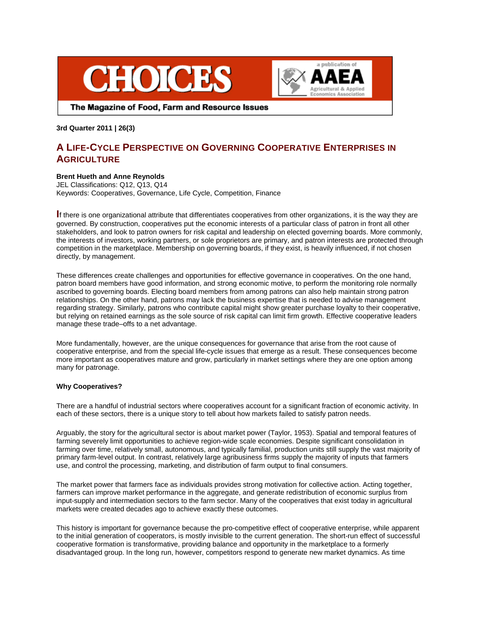



The Magazine of Food, Farm and Resource Issues

**3rd Quarter 2011 | 26(3)**

# **A LIFE-CYCLE PERSPECTIVE ON GOVERNING COOPERATIVE ENTERPRISES IN AGRICULTURE**

## **Brent Hueth and Anne Reynolds**

JEL Classifications: Q12, Q13, Q14 Keywords: Cooperatives, Governance, Life Cycle, Competition, Finance

**I**<sup>f</sup> there is one organizational attribute that differentiates cooperatives from other organizations, it is the way they are governed. By construction, cooperatives put the economic interests of a particular class of patron in front all other stakeholders, and look to patron owners for risk capital and leadership on elected governing boards. More commonly, the interests of investors, working partners, or sole proprietors are primary, and patron interests are protected through competition in the marketplace. Membership on governing boards, if they exist, is heavily influenced, if not chosen directly, by management.

These differences create challenges and opportunities for effective governance in cooperatives. On the one hand, patron board members have good information, and strong economic motive, to perform the monitoring role normally ascribed to governing boards. Electing board members from among patrons can also help maintain strong patron relationships. On the other hand, patrons may lack the business expertise that is needed to advise management regarding strategy. Similarly, patrons who contribute capital might show greater purchase loyalty to their cooperative, but relying on retained earnings as the sole source of risk capital can limit firm growth. Effective cooperative leaders manage these trade–offs to a net advantage.

More fundamentally, however, are the unique consequences for governance that arise from the root cause of cooperative enterprise, and from the special life-cycle issues that emerge as a result. These consequences become more important as cooperatives mature and grow, particularly in market settings where they are one option among many for patronage.

## **Why Cooperatives?**

There are a handful of industrial sectors where cooperatives account for a significant fraction of economic activity. In each of these sectors, there is a unique story to tell about how markets failed to satisfy patron needs.

Arguably, the story for the agricultural sector is about market power (Taylor, 1953). Spatial and temporal features of farming severely limit opportunities to achieve region-wide scale economies. Despite significant consolidation in farming over time, relatively small, autonomous, and typically familial, production units still supply the vast majority of primary farm-level output. In contrast, relatively large agribusiness firms supply the majority of inputs that farmers use, and control the processing, marketing, and distribution of farm output to final consumers.

The market power that farmers face as individuals provides strong motivation for collective action. Acting together, farmers can improve market performance in the aggregate, and generate redistribution of economic surplus from input-supply and intermediation sectors to the farm sector. Many of the cooperatives that exist today in agricultural markets were created decades ago to achieve exactly these outcomes.

This history is important for governance because the pro-competitive effect of cooperative enterprise, while apparent to the initial generation of cooperators, is mostly invisible to the current generation. The short-run effect of successful cooperative formation is transformative, providing balance and opportunity in the marketplace to a formerly disadvantaged group. In the long run, however, competitors respond to generate new market dynamics. As time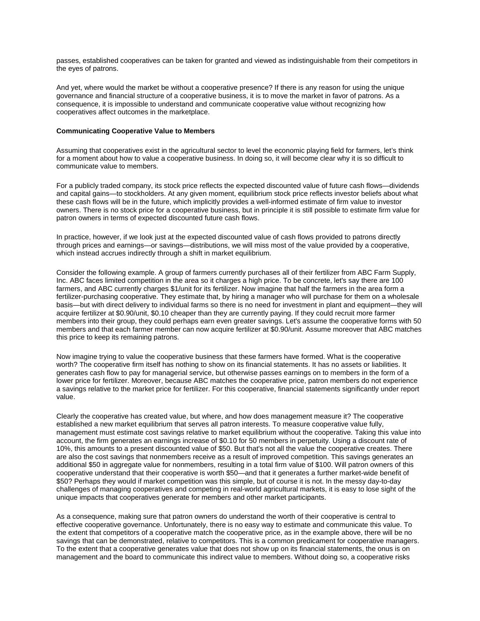passes, established cooperatives can be taken for granted and viewed as indistinguishable from their competitors in the eyes of patrons.

And yet, where would the market be without a cooperative presence? If there is any reason for using the unique governance and financial structure of a cooperative business, it is to move the market in favor of patrons. As a consequence, it is impossible to understand and communicate cooperative value without recognizing how cooperatives affect outcomes in the marketplace.

#### **Communicating Cooperative Value to Members**

Assuming that cooperatives exist in the agricultural sector to level the economic playing field for farmers, let's think for a moment about how to value a cooperative business. In doing so, it will become clear why it is so difficult to communicate value to members.

For a publicly traded company, its stock price reflects the expected discounted value of future cash flows—dividends and capital gains—to stockholders. At any given moment, equilibrium stock price reflects investor beliefs about what these cash flows will be in the future, which implicitly provides a well-informed estimate of firm value to investor owners. There is no stock price for a cooperative business, but in principle it is still possible to estimate firm value for patron owners in terms of expected discounted future cash flows.

In practice, however, if we look just at the expected discounted value of cash flows provided to patrons directly through prices and earnings—or savings—distributions, we will miss most of the value provided by a cooperative, which instead accrues indirectly through a shift in market equilibrium.

Consider the following example. A group of farmers currently purchases all of their fertilizer from ABC Farm Supply, Inc. ABC faces limited competition in the area so it charges a high price. To be concrete, let's say there are 100 farmers, and ABC currently charges \$1/unit for its fertilizer. Now imagine that half the farmers in the area form a fertilizer-purchasing cooperative. They estimate that, by hiring a manager who will purchase for them on a wholesale basis—but with direct delivery to individual farms so there is no need for investment in plant and equipment—they will acquire fertilizer at \$0.90/unit, \$0.10 cheaper than they are currently paying. If they could recruit more farmer members into their group, they could perhaps earn even greater savings. Let's assume the cooperative forms with 50 members and that each farmer member can now acquire fertilizer at \$0.90/unit. Assume moreover that ABC matches this price to keep its remaining patrons.

Now imagine trying to value the cooperative business that these farmers have formed. What is the cooperative worth? The cooperative firm itself has nothing to show on its financial statements. It has no assets or liabilities. It generates cash flow to pay for managerial service, but otherwise passes earnings on to members in the form of a lower price for fertilizer. Moreover, because ABC matches the cooperative price, patron members do not experience a savings relative to the market price for fertilizer. For this cooperative, financial statements significantly under report value.

Clearly the cooperative has created value, but where, and how does management measure it? The cooperative established a new market equilibrium that serves all patron interests. To measure cooperative value fully, management must estimate cost savings relative to market equilibrium without the cooperative*.* Taking this value into account, the firm generates an earnings increase of \$0.10 for 50 members in perpetuity. Using a discount rate of 10%, this amounts to a present discounted value of \$50. But that's not all the value the cooperative creates. There are also the cost savings that nonmembers receive as a result of improved competition. This savings generates an additional \$50 in aggregate value for nonmembers, resulting in a total firm value of \$100. Will patron owners of this cooperative understand that their cooperative is worth \$50—and that it generates a further market-wide benefit of \$50? Perhaps they would if market competition was this simple, but of course it is not. In the messy day-to-day challenges of managing cooperatives and competing in real-world agricultural markets, it is easy to lose sight of the unique impacts that cooperatives generate for members and other market participants.

As a consequence, making sure that patron owners do understand the worth of their cooperative is central to effective cooperative governance. Unfortunately, there is no easy way to estimate and communicate this value. To the extent that competitors of a cooperative match the cooperative price, as in the example above, there will be no savings that can be demonstrated, relative to competitors. This is a common predicament for cooperative managers. To the extent that a cooperative generates value that does not show up on its financial statements, the onus is on management and the board to communicate this indirect value to members. Without doing so, a cooperative risks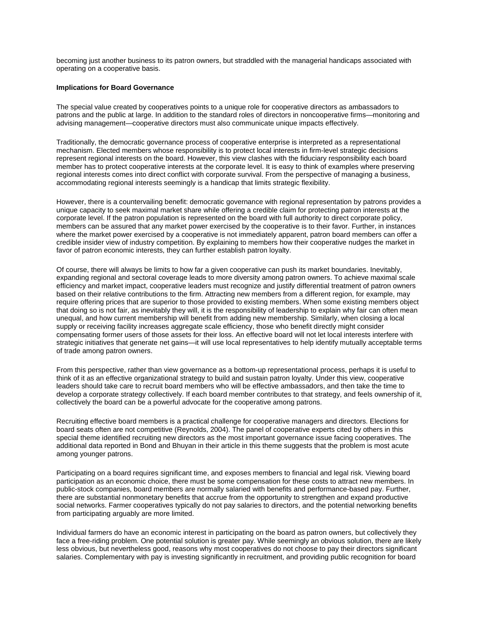becoming just another business to its patron owners, but straddled with the managerial handicaps associated with operating on a cooperative basis.

### **Implications for Board Governance**

The special value created by cooperatives points to a unique role for cooperative directors as ambassadors to patrons and the public at large. In addition to the standard roles of directors in noncooperative firms—monitoring and advising management—cooperative directors must also communicate unique impacts effectively.

Traditionally, the democratic governance process of cooperative enterprise is interpreted as a representational mechanism. Elected members whose responsibility is to protect local interests in firm-level strategic decisions represent regional interests on the board. However, this view clashes with the fiduciary responsibility each board member has to protect cooperative interests at the corporate level. It is easy to think of examples where preserving regional interests comes into direct conflict with corporate survival. From the perspective of managing a business, accommodating regional interests seemingly is a handicap that limits strategic flexibility.

However, there is a countervailing benefit: democratic governance with regional representation by patrons provides a unique capacity to seek maximal market share while offering a credible claim for protecting patron interests at the corporate level. If the patron population is represented on the board with full authority to direct corporate policy, members can be assured that any market power exercised by the cooperative is to their favor. Further, in instances where the market power exercised by a cooperative is not immediately apparent, patron board members can offer a credible insider view of industry competition. By explaining to members how their cooperative nudges the market in favor of patron economic interests, they can further establish patron loyalty.

Of course, there will always be limits to how far a given cooperative can push its market boundaries. Inevitably, expanding regional and sectoral coverage leads to more diversity among patron owners. To achieve maximal scale efficiency and market impact, cooperative leaders must recognize and justify differential treatment of patron owners based on their relative contributions to the firm. Attracting new members from a different region, for example, may require offering prices that are superior to those provided to existing members. When some existing members object that doing so is not fair, as inevitably they will, it is the responsibility of leadership to explain why fair can often mean unequal, and how current membership will benefit from adding new membership. Similarly, when closing a local supply or receiving facility increases aggregate scale efficiency, those who benefit directly might consider compensating former users of those assets for their loss. An effective board will not let local interests interfere with strategic initiatives that generate net gains—it will use local representatives to help identify mutually acceptable terms of trade among patron owners.

From this perspective, rather than view governance as a bottom-up representational process, perhaps it is useful to think of it as an effective organizational strategy to build and sustain patron loyalty. Under this view, cooperative leaders should take care to recruit board members who will be effective ambassadors, and then take the time to develop a corporate strategy collectively. If each board member contributes to that strategy, and feels ownership of it, collectively the board can be a powerful advocate for the cooperative among patrons.

Recruiting effective board members is a practical challenge for cooperative managers and directors. Elections for board seats often are not competitive (Reynolds, 2004). The panel of cooperative experts cited by others in this special theme identified recruiting new directors as the most important governance issue facing cooperatives. The additional data reported in Bond and Bhuyan in their article in this theme suggests that the problem is most acute among younger patrons.

Participating on a board requires significant time, and exposes members to financial and legal risk. Viewing board participation as an economic choice, there must be some compensation for these costs to attract new members. In public-stock companies, board members are normally salaried with benefits and performance-based pay. Further, there are substantial nonmonetary benefits that accrue from the opportunity to strengthen and expand productive social networks. Farmer cooperatives typically do not pay salaries to directors, and the potential networking benefits from participating arguably are more limited.

Individual farmers do have an economic interest in participating on the board as patron owners, but collectively they face a free-riding problem. One potential solution is greater pay. While seemingly an obvious solution, there are likely less obvious, but nevertheless good, reasons why most cooperatives do not choose to pay their directors significant salaries. Complementary with pay is investing significantly in recruitment, and providing public recognition for board